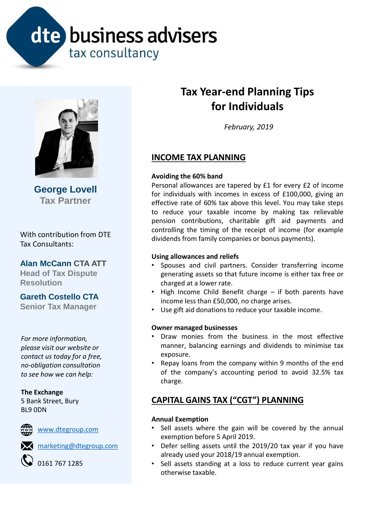# dte business advisers tax consultancy



**George Lovell Tax Partner**

With contribution from DTE Tax Consultants:

**Alan McCann CTA ATT**

**Head of Tax Dispute Resolution**

**Gareth Costello CTA** 

**Senior Tax Manager**

*For more information, please visit our website or contact us today for a free, no-obligation consultation to see how we can help:*

# **The Exchange**

5 Bank Street, Bury BL9 0DN



**WWW.dtegroup.com** 

**X** [marketing@dtegroup.com](mailto:marketing@dtegroup.com)

0161 767 1285

# **Tax Year-end Planning Tips for Individuals**

*February, 2019*

# **INCOME TAX PLANNING**

# **Avoiding the 60% band**

Personal allowances are tapered by £1 for every £2 of income for individuals with incomes in excess of £100,000, giving an effective rate of 60% tax above this level. You may take steps to reduce your taxable income by making tax relievable pension contributions, charitable gift aid payments and controlling the timing of the receipt of income (for example dividends from family companies or bonus payments).

# **Using allowances and reliefs**

- Spouses and civil partners. Consider transferring income generating assets so that future income is either tax free or charged at a lower rate.
- High Income Child Benefit charge if both parents have income less than £50,000, no charge arises.
- Use gift aid donationsto reduce your taxable income.

# **Owner managed businesses**

- Draw monies from the business in the most effective manner, balancing earnings and dividends to minimise tax exposure.
- Repay loans from the company within 9 months of the end of the company's accounting period to avoid 32.5% tax charge.

# **CAPITAL GAINS TAX ("CGT") PLANNING**

# **Annual Exemption**

- Sell assets where the gain will be covered by the annual exemption before 5 April 2019.
- Defer selling assets until the 2019/20 tax year if you have already used your 2018/19 annual exemption.
- Sell assets standing at a loss to reduce current year gains otherwise taxable.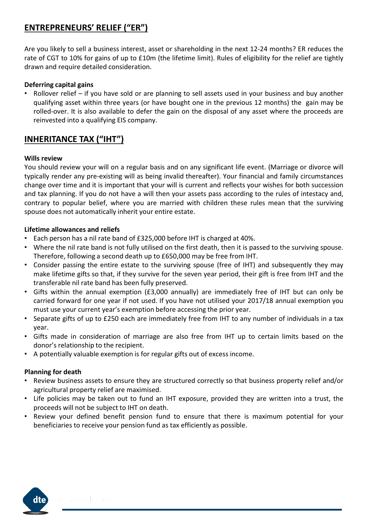# **ENTREPRENEURS' RELIEF ("ER")**

Are you likely to sell a business interest, asset or shareholding in the next 12-24 months? ER reduces the rate of CGT to 10% for gains of up to £10m (the lifetime limit). Rules of eligibility for the relief are tightly drawn and require detailed consideration.

# **Deferring capital gains**

Rollover relief – if you have sold or are planning to sell assets used in your business and buy another qualifying asset within three years (or have bought one in the previous 12 months) the gain may be rolled-over. It is also available to defer the gain on the disposal of any asset where the proceeds are reinvested into a qualifying EIS company.

# **INHERITANCE TAX ("IHT")**

#### **Wills review**

You should review your will on a regular basis and on any significant life event. (Marriage or divorce will typically render any pre-existing will as being invalid thereafter). Your financial and family circumstances change over time and it is important that your will is current and reflects your wishes for both succession and tax planning. If you do not have a will then your assets pass according to the rules of intestacy and, contrary to popular belief, where you are married with children these rules mean that the surviving spouse does not automatically inherit your entire estate.

#### **Lifetime allowances and reliefs**

- Each person has a nil rate band of £325,000 before IHT is charged at 40%.
- Where the nil rate band is not fully utilised on the first death, then it is passed to the surviving spouse. Therefore, following a second death up to £650,000 may be free from IHT.
- Consider passing the entire estate to the surviving spouse (free of IHT) and subsequently they may make lifetime gifts so that, if they survive for the seven year period, their gift is free from IHT and the transferable nil rate band has been fully preserved.
- Gifts within the annual exemption (£3,000 annually) are immediately free of IHT but can only be carried forward for one year if not used. If you have not utilised your 2017/18 annual exemption you must use your current year's exemption before accessing the prior year.
- Separate gifts of up to £250 each are immediately free from IHT to any number of individuals in a tax year.
- Gifts made in consideration of marriage are also free from IHT up to certain limits based on the donor's relationship to the recipient.
- A potentially valuable exemption is for regular gifts out of excess income.

# **Planning for death**

- Review business assets to ensure they are structured correctly so that business property relief and/or agricultural property relief are maximised.
- Life policies may be taken out to fund an IHT exposure, provided they are written into a trust, the proceeds will not be subject to IHT on death.
- Review your defined benefit pension fund to ensure that there is maximum potential for your beneficiaries to receive your pension fund as tax efficiently as possible.